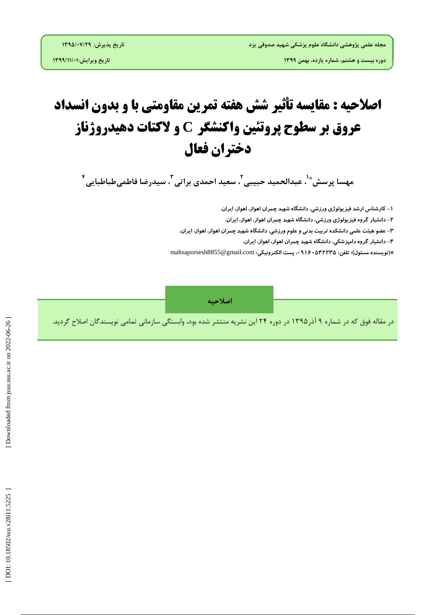## **اصلاحیه : مقایسه تأثیر شش هفته تمرین مقاومتی با و بدون انسداد الکتبت دهیدريژوبز ي عريق بر سطًح پريتئیه ياکىشگر C دختران فعبل**

**ههسا پزسص 5 ، عبدالحويد حبيبی \* 9 ، سعيد احودی بزاتی 9 ، سيدرضا فاطویطباطبایی 4**

**۱** – کارشناس ارشد فیز یولوژی ورزشی، دانشگاه شهید چمران اهواز، اهواز، ایران.

۲– دانشیار کروه فیز یولوژی ورزشی، دانشگاه شهید چمران اهواز، اهواز، ایران.

۳– عضو هیئت علمی دانشکده تربیت بدنی و علوم ورزشی، دانشکاه شهید چمران اهواز، اهواز، ایران.

۴ – دانشیار کروه دامپزشکی، دانشکاه شهید چمران اهواز، اهواز، ایران.

mahsaporsesh8855@gmail.com **وًیسىدٌ مسئًل(؛ تلفه: ،43164542235 پست الکتريویکی: ( \***

ا**صلاحیه**<br>در مقاله فوق که در شماره ۹ آذر۱۳۹۵ در دوره ۲۴ این نشریه منتشر شده بود، وابستگی سازمانی تمامی نویسندگان اصلاح گردید.